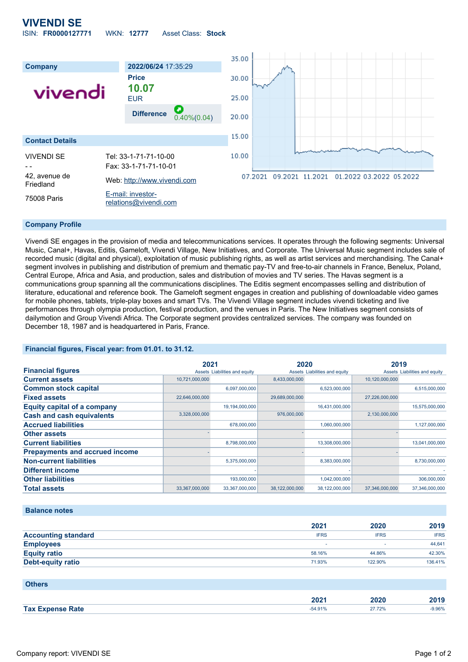# **VIVENDI SE** ISIN: **FR0000127771** WKN: **12777** Asset Class: **Stock**



### **Company Profile**

Vivendi SE engages in the provision of media and telecommunications services. It operates through the following segments: Universal Music, Canal+, Havas, Editis, Gameloft, Vivendi Village, New Initiatives, and Corporate. The Universal Music segment includes sale of recorded music (digital and physical), exploitation of music publishing rights, as well as artist services and merchandising. The Canal+ segment involves in publishing and distribution of premium and thematic pay-TV and free-to-air channels in France, Benelux, Poland, Central Europe, Africa and Asia, and production, sales and distribution of movies and TV series. The Havas segment is a communications group spanning all the communications disciplines. The Editis segment encompasses selling and distribution of literature, educational and reference book. The Gameloft segment engages in creation and publishing of downloadable video games for mobile phones, tablets, triple-play boxes and smart TVs. The Vivendi Village segment includes vivendi ticketing and live performances through olympia production, festival production, and the venues in Paris. The New Initiatives segment consists of dailymotion and Group Vivendi Africa. The Corporate segment provides centralized services. The company was founded on December 18, 1987 and is headquartered in Paris, France.

## **Financial figures, Fiscal year: from 01.01. to 31.12.**

|                                       | 2021           |                               | 2020           |                               | 2019           |                               |
|---------------------------------------|----------------|-------------------------------|----------------|-------------------------------|----------------|-------------------------------|
| <b>Financial figures</b>              |                | Assets Liabilities and equity |                | Assets Liabilities and equity |                | Assets Liabilities and equity |
| <b>Current assets</b>                 | 10,721,000,000 |                               | 8,433,000,000  |                               | 10,120,000,000 |                               |
| <b>Common stock capital</b>           |                | 6,097,000,000                 |                | 6,523,000,000                 |                | 6,515,000,000                 |
| <b>Fixed assets</b>                   | 22,646,000,000 |                               | 29,689,000,000 |                               | 27,226,000,000 |                               |
| <b>Equity capital of a company</b>    |                | 19,194,000,000                |                | 16,431,000,000                |                | 15,575,000,000                |
| <b>Cash and cash equivalents</b>      | 3,328,000,000  |                               | 976,000,000    |                               | 2,130,000,000  |                               |
| <b>Accrued liabilities</b>            |                | 678,000,000                   |                | 1,060,000,000                 |                | 1,127,000,000                 |
| <b>Other assets</b>                   |                |                               |                |                               |                |                               |
| <b>Current liabilities</b>            |                | 8,798,000,000                 |                | 13,308,000,000                |                | 13,041,000,000                |
| <b>Prepayments and accrued income</b> |                |                               |                |                               |                |                               |
| <b>Non-current liabilities</b>        |                | 5,375,000,000                 |                | 8,383,000,000                 |                | 8,730,000,000                 |
| <b>Different income</b>               |                |                               |                |                               |                |                               |
| <b>Other liabilities</b>              |                | 193,000,000                   |                | 1,042,000,000                 |                | 306,000,000                   |
| <b>Total assets</b>                   | 33,367,000,000 | 33,367,000,000                | 38,122,000,000 | 38,122,000,000                | 37,346,000,000 | 37,346,000,000                |

#### **Balance notes**

|                            | 2021        | 2020        | 2019        |
|----------------------------|-------------|-------------|-------------|
| <b>Accounting standard</b> | <b>IFRS</b> | <b>IFRS</b> | <b>IFRS</b> |
| <b>Employees</b>           |             |             | 44,641      |
| <b>Equity ratio</b>        | 58.16%      | 44.86%      | 42.30%      |
| <b>Debt-equity ratio</b>   | 71.93%      | 122.90%     | 136.41%     |

#### **Others**

|                         | . רחר<br>AVA L | 2020   | ZU 1 J |
|-------------------------|----------------|--------|--------|
| <b>Tax Expense Rate</b> | $-54.91%$      | 27.72% | 9.96%  |